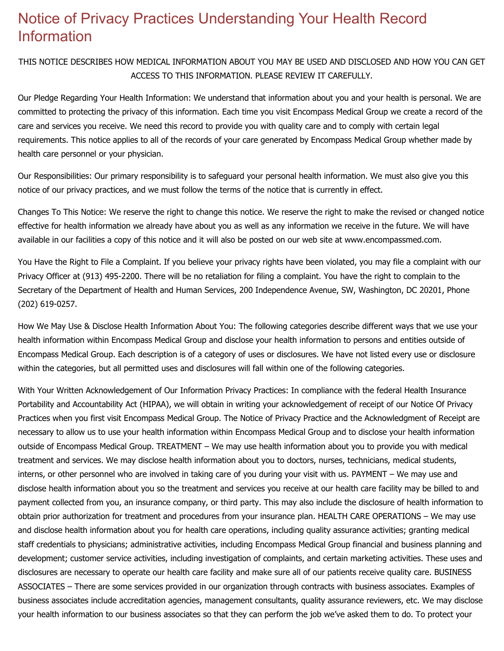## Notice of Privacy Practices Understanding Your Health Record Information

THIS NOTICE DESCRIBES HOW MEDICAL INFORMATION ABOUT YOU MAY BE USED AND DISCLOSED AND HOW YOU CAN GET ACCESS TO THIS INFORMATION. PLEASE REVIEW IT CAREFULLY.

Our Pledge Regarding Your Health Information: We understand that information about you and your health is personal. We are committed to protecting the privacy of this information. Each time you visit Encompass Medical Group we create a record of the care and services you receive. We need this record to provide you with quality care and to comply with certain legal requirements. This notice applies to all of the records of your care generated by Encompass Medical Group whether made by health care personnel or your physician.

Our Responsibilities: Our primary responsibility is to safeguard your personal health information. We must also give you this notice of our privacy practices, and we must follow the terms of the notice that is currently in effect.

Changes To This Notice: We reserve the right to change this notice. We reserve the right to make the revised or changed notice effective for health information we already have about you as well as any information we receive in the future. We will have available in our facilities a copy of this notice and it will also be posted on our web site at www.encompassmed.com.

You Have the Right to File a Complaint. If you believe your privacy rights have been violated, you may file a complaint with our Privacy Officer at (913) 495-2200. There will be no retaliation for filing a complaint. You have the right to complain to the Secretary of the Department of Health and Human Services, 200 Independence Avenue, SW, Washington, DC 20201, Phone (202) 619-0257.

How We May Use & Disclose Health Information About You: The following categories describe different ways that we use your health information within Encompass Medical Group and disclose your health information to persons and entities outside of Encompass Medical Group. Each description is of a category of uses or disclosures. We have not listed every use or disclosure within the categories, but all permitted uses and disclosures will fall within one of the following categories.

With Your Written Acknowledgement of Our Information Privacy Practices: In compliance with the federal Health Insurance Portability and Accountability Act (HIPAA), we will obtain in writing your acknowledgement of receipt of our Notice Of Privacy Practices when you first visit Encompass Medical Group. The Notice of Privacy Practice and the Acknowledgment of Receipt are necessary to allow us to use your health information within Encompass Medical Group and to disclose your health information outside of Encompass Medical Group. TREATMENT – We may use health information about you to provide you with medical treatment and services. We may disclose health information about you to doctors, nurses, technicians, medical students, interns, or other personnel who are involved in taking care of you during your visit with us. PAYMENT – We may use and disclose health information about you so the treatment and services you receive at our health care facility may be billed to and payment collected from you, an insurance company, or third party. This may also include the disclosure of health information to obtain prior authorization for treatment and procedures from your insurance plan. HEALTH CARE OPERATIONS – We may use and disclose health information about you for health care operations, including quality assurance activities; granting medical staff credentials to physicians; administrative activities, including Encompass Medical Group financial and business planning and development; customer service activities, including investigation of complaints, and certain marketing activities. These uses and disclosures are necessary to operate our health care facility and make sure all of our patients receive quality care. BUSINESS ASSOCIATES – There are some services provided in our organization through contracts with business associates. Examples of business associates include accreditation agencies, management consultants, quality assurance reviewers, etc. We may disclose your health information to our business associates so that they can perform the job we've asked them to do. To protect your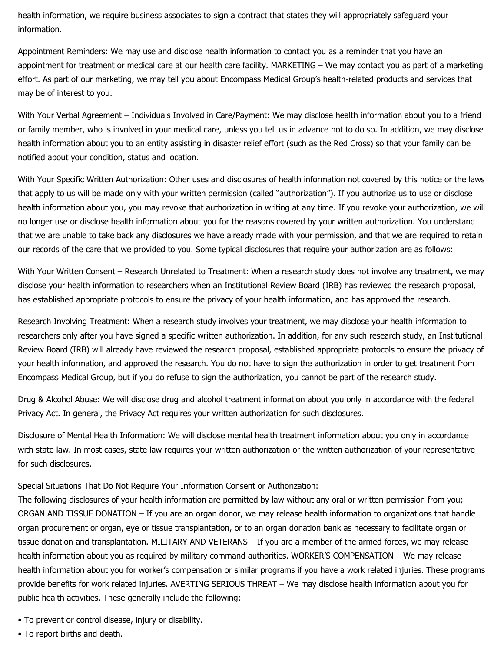health information, we require business associates to sign a contract that states they will appropriately safeguard your information.

Appointment Reminders: We may use and disclose health information to contact you as a reminder that you have an appointment for treatment or medical care at our health care facility. MARKETING – We may contact you as part of a marketing effort. As part of our marketing, we may tell you about Encompass Medical Group's health-related products and services that may be of interest to you.

With Your Verbal Agreement – Individuals Involved in Care/Payment: We may disclose health information about you to a friend or family member, who is involved in your medical care, unless you tell us in advance not to do so. In addition, we may disclose health information about you to an entity assisting in disaster relief effort (such as the Red Cross) so that your family can be notified about your condition, status and location.

With Your Specific Written Authorization: Other uses and disclosures of health information not covered by this notice or the laws that apply to us will be made only with your written permission (called "authorization"). If you authorize us to use or disclose health information about you, you may revoke that authorization in writing at any time. If you revoke your authorization, we will no longer use or disclose health information about you for the reasons covered by your written authorization. You understand that we are unable to take back any disclosures we have already made with your permission, and that we are required to retain our records of the care that we provided to you. Some typical disclosures that require your authorization are as follows:

With Your Written Consent – Research Unrelated to Treatment: When a research study does not involve any treatment, we may disclose your health information to researchers when an Institutional Review Board (IRB) has reviewed the research proposal, has established appropriate protocols to ensure the privacy of your health information, and has approved the research.

Research Involving Treatment: When a research study involves your treatment, we may disclose your health information to researchers only after you have signed a specific written authorization. In addition, for any such research study, an Institutional Review Board (IRB) will already have reviewed the research proposal, established appropriate protocols to ensure the privacy of your health information, and approved the research. You do not have to sign the authorization in order to get treatment from Encompass Medical Group, but if you do refuse to sign the authorization, you cannot be part of the research study.

Drug & Alcohol Abuse: We will disclose drug and alcohol treatment information about you only in accordance with the federal Privacy Act. In general, the Privacy Act requires your written authorization for such disclosures.

Disclosure of Mental Health Information: We will disclose mental health treatment information about you only in accordance with state law. In most cases, state law requires your written authorization or the written authorization of your representative for such disclosures.

Special Situations That Do Not Require Your Information Consent or Authorization:

The following disclosures of your health information are permitted by law without any oral or written permission from you; ORGAN AND TISSUE DONATION – If you are an organ donor, we may release health information to organizations that handle organ procurement or organ, eye or tissue transplantation, or to an organ donation bank as necessary to facilitate organ or tissue donation and transplantation. MILITARY AND VETERANS – If you are a member of the armed forces, we may release health information about you as required by military command authorities. WORKER'S COMPENSATION – We may release health information about you for worker's compensation or similar programs if you have a work related injuries. These programs provide benefits for work related injuries. AVERTING SERIOUS THREAT – We may disclose health information about you for public health activities. These generally include the following:

- To prevent or control disease, injury or disability.
- To report births and death.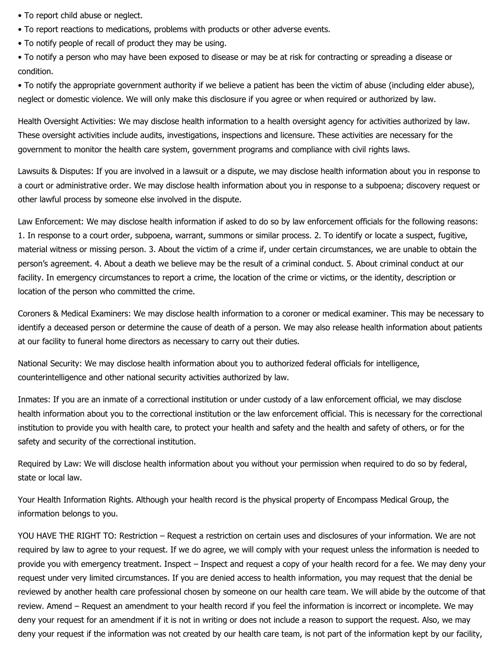• To report child abuse or neglect.

- To report reactions to medications, problems with products or other adverse events.
- To notify people of recall of product they may be using.

• To notify a person who may have been exposed to disease or may be at risk for contracting or spreading a disease or condition.

• To notify the appropriate government authority if we believe a patient has been the victim of abuse (including elder abuse), neglect or domestic violence. We will only make this disclosure if you agree or when required or authorized by law.

Health Oversight Activities: We may disclose health information to a health oversight agency for activities authorized by law. These oversight activities include audits, investigations, inspections and licensure. These activities are necessary for the government to monitor the health care system, government programs and compliance with civil rights laws.

Lawsuits & Disputes: If you are involved in a lawsuit or a dispute, we may disclose health information about you in response to a court or administrative order. We may disclose health information about you in response to a subpoena; discovery request or other lawful process by someone else involved in the dispute.

Law Enforcement: We may disclose health information if asked to do so by law enforcement officials for the following reasons: 1. In response to a court order, subpoena, warrant, summons or similar process. 2. To identify or locate a suspect, fugitive, material witness or missing person. 3. About the victim of a crime if, under certain circumstances, we are unable to obtain the person's agreement. 4. About a death we believe may be the result of a criminal conduct. 5. About criminal conduct at our facility. In emergency circumstances to report a crime, the location of the crime or victims, or the identity, description or location of the person who committed the crime.

Coroners & Medical Examiners: We may disclose health information to a coroner or medical examiner. This may be necessary to identify a deceased person or determine the cause of death of a person. We may also release health information about patients at our facility to funeral home directors as necessary to carry out their duties.

National Security: We may disclose health information about you to authorized federal officials for intelligence, counterintelligence and other national security activities authorized by law.

Inmates: If you are an inmate of a correctional institution or under custody of a law enforcement official, we may disclose health information about you to the correctional institution or the law enforcement official. This is necessary for the correctional institution to provide you with health care, to protect your health and safety and the health and safety of others, or for the safety and security of the correctional institution.

Required by Law: We will disclose health information about you without your permission when required to do so by federal, state or local law.

Your Health Information Rights. Although your health record is the physical property of Encompass Medical Group, the information belongs to you.

YOU HAVE THE RIGHT TO: Restriction – Request a restriction on certain uses and disclosures of your information. We are not required by law to agree to your request. If we do agree, we will comply with your request unless the information is needed to provide you with emergency treatment. Inspect – Inspect and request a copy of your health record for a fee. We may deny your request under very limited circumstances. If you are denied access to health information, you may request that the denial be reviewed by another health care professional chosen by someone on our health care team. We will abide by the outcome of that review. Amend – Request an amendment to your health record if you feel the information is incorrect or incomplete. We may deny your request for an amendment if it is not in writing or does not include a reason to support the request. Also, we may deny your request if the information was not created by our health care team, is not part of the information kept by our facility,